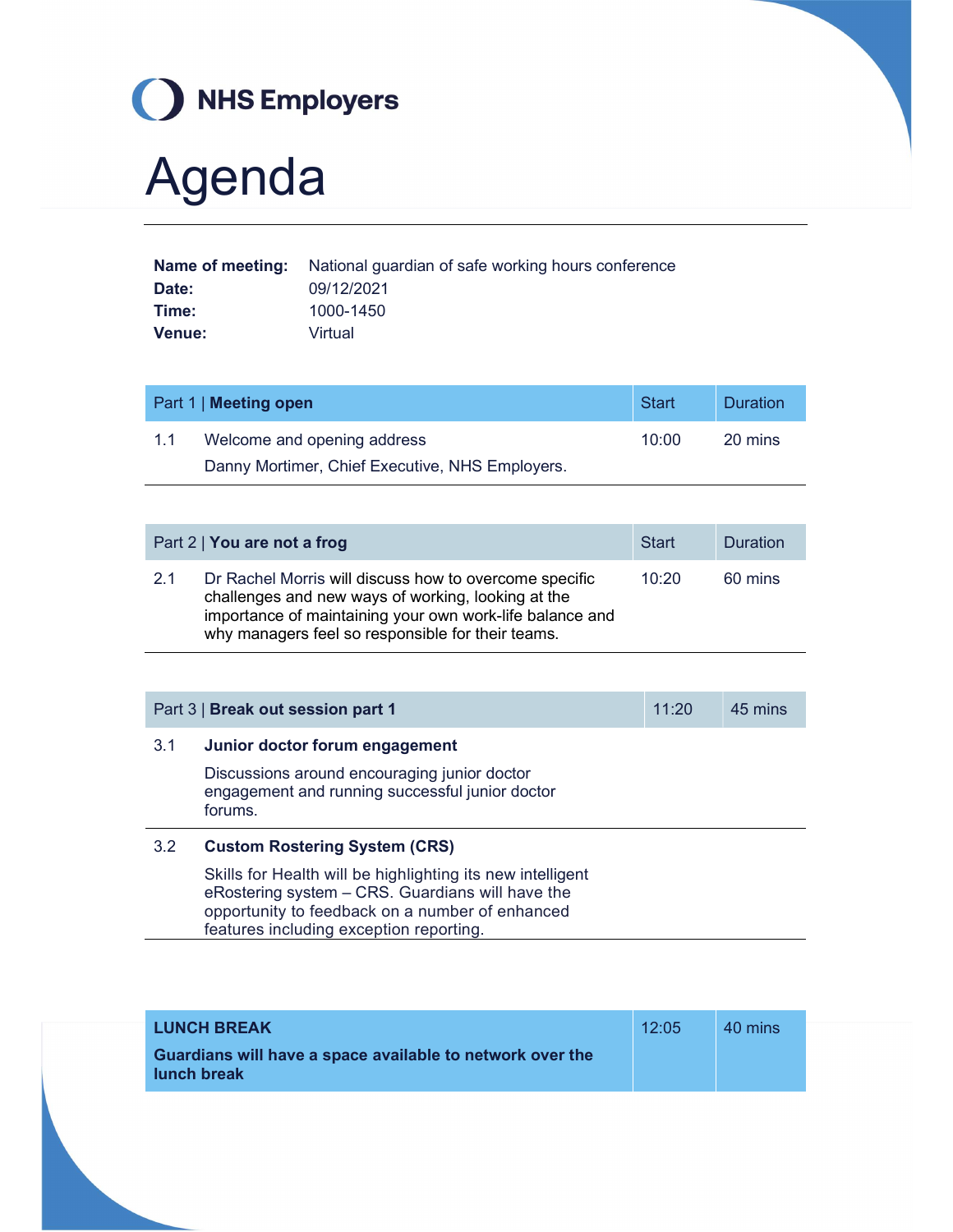

## Agenda

|        | <b>Name of meeting:</b> National guardian of safe working hours conference |
|--------|----------------------------------------------------------------------------|
| Date:  | 09/12/2021                                                                 |
| Time:  | 1000-1450                                                                  |
| Venue: | Virtual                                                                    |

| Part 1   Meeting open |                                                 | Start | <b>Duration</b> |
|-----------------------|-------------------------------------------------|-------|-----------------|
| 1.1                   | Welcome and opening address                     | 10:00 | 20 mins         |
|                       | Danny Mortimer, Chief Executive, NHS Employers. |       |                 |

|     | Part 2   You are not a frog                                                                                                                                                                                                   | Start | <b>Duration</b> |
|-----|-------------------------------------------------------------------------------------------------------------------------------------------------------------------------------------------------------------------------------|-------|-----------------|
| 2.1 | Dr Rachel Morris will discuss how to overcome specific<br>challenges and new ways of working, looking at the<br>importance of maintaining your own work-life balance and<br>why managers feel so responsible for their teams. | 10:20 | 60 mins         |

| Part 3   Break out session part 1 |                                                                                                                                                                   | 11:20 | 45 mins |
|-----------------------------------|-------------------------------------------------------------------------------------------------------------------------------------------------------------------|-------|---------|
| 3.1                               | Junior doctor forum engagement                                                                                                                                    |       |         |
|                                   | Discussions around encouraging junior doctor<br>engagement and running successful junior doctor<br>forums.                                                        |       |         |
| 3.2                               | <b>Custom Rostering System (CRS)</b>                                                                                                                              |       |         |
|                                   | Skills for Health will be highlighting its new intelligent<br>eRostering system – CRS. Guardians will have the<br>opportunity to feedback on a number of enhanced |       |         |

features including exception reporting.

| <b>LUNCH BREAK</b>                                                              | 12:05 | 40 mins |
|---------------------------------------------------------------------------------|-------|---------|
| Guardians will have a space available to network over the<br><b>lunch break</b> |       |         |